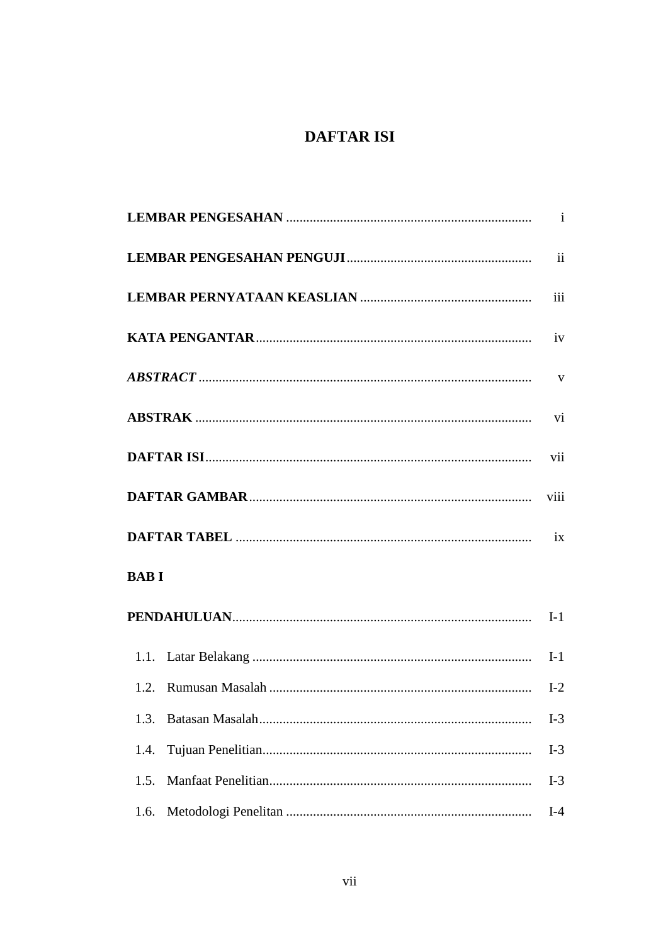## **DAFTAR ISI**

| <b>BABI</b> |       |
|-------------|-------|
|             |       |
|             |       |
|             |       |
| 1.3.        | $I-3$ |
| 1.4.        | $I-3$ |
| 1.5.        | $I-3$ |
| 1.6.        | $I-4$ |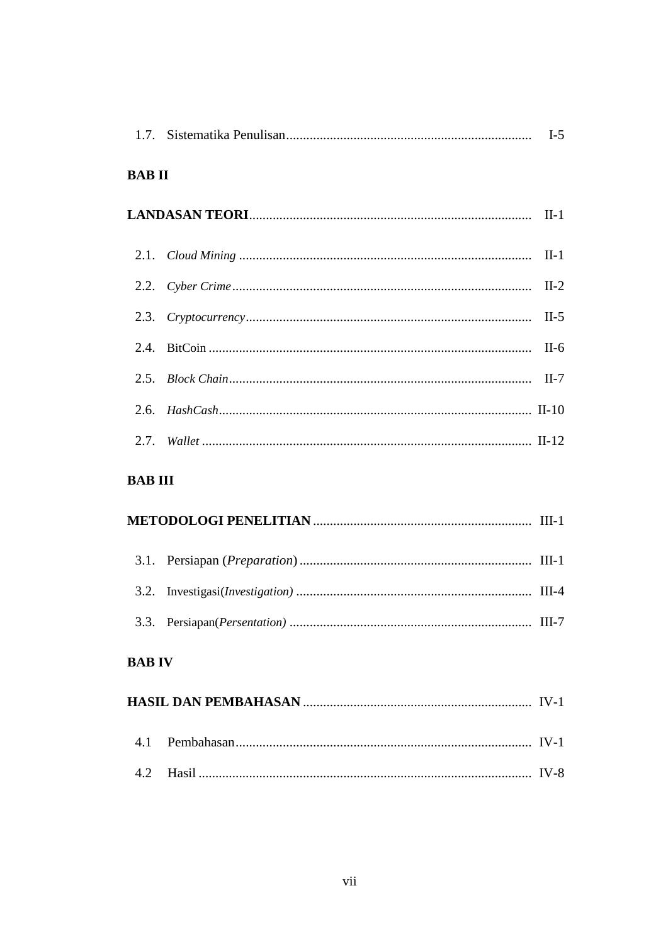| <b>BABII</b> |  |  |
|--------------|--|--|
|              |  |  |
|              |  |  |
|              |  |  |
|              |  |  |
|              |  |  |
|              |  |  |
|              |  |  |
|              |  |  |

#### **BAB III**

### **BAB IV**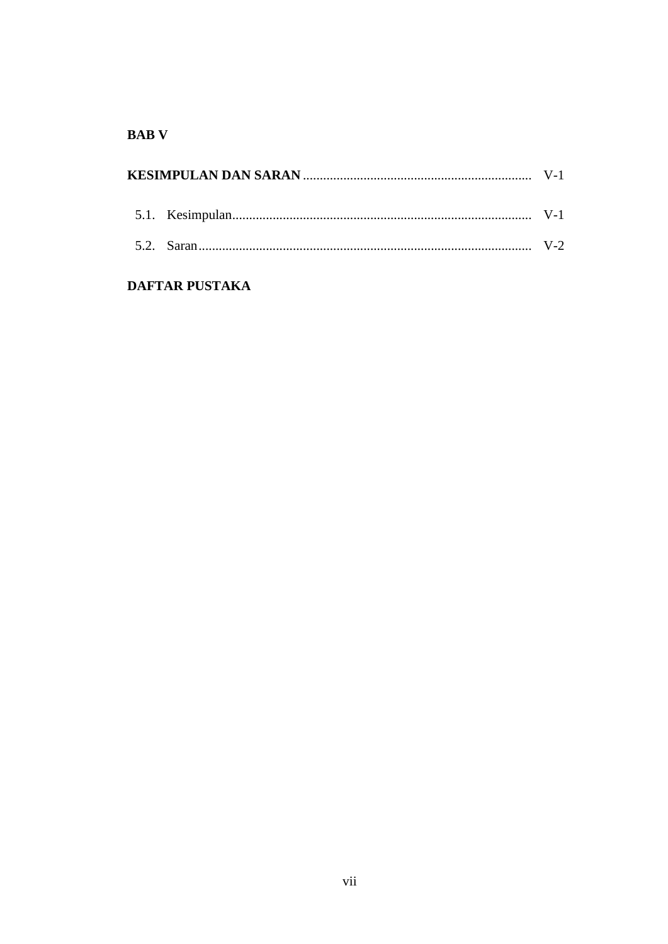#### **BAB** V

#### **DAFTAR PUSTAKA**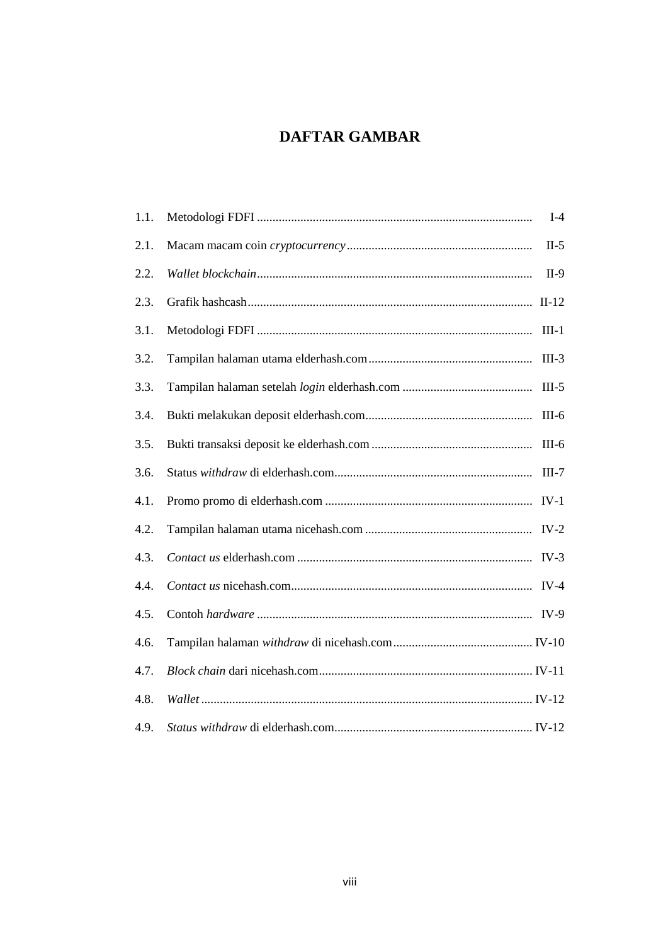# **DAFTAR GAMBAR**

| 1.1. | $I-4$   |
|------|---------|
| 2.1. | $II-5$  |
| 2.2. | $II-9$  |
| 2.3. |         |
| 3.1. | $III-1$ |
| 3.2. | $III-3$ |
| 3.3. | $III-5$ |
| 3.4. | $III-6$ |
| 3.5. | $III-6$ |
| 3.6. | $III-7$ |
| 4.1. |         |
| 4.2. | $IV-2$  |
| 4.3. |         |
| 4.4. |         |
| 4.5. |         |
| 4.6. |         |
| 4.7. |         |
| 4.8. |         |
| 4.9. |         |